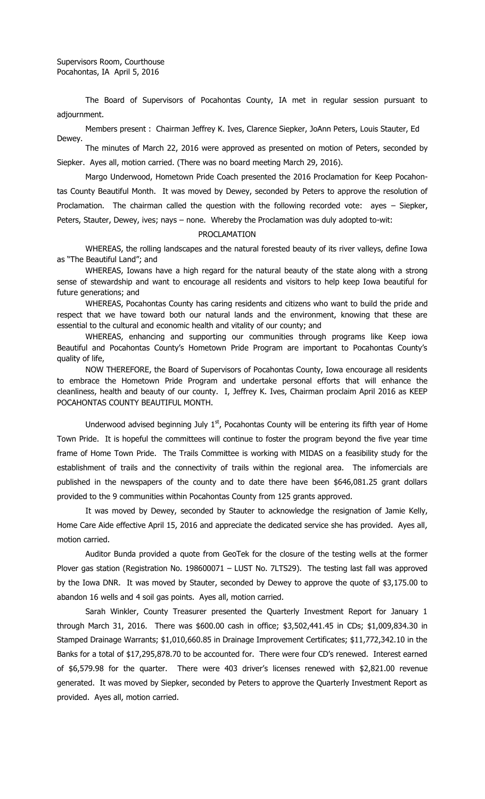Supervisors Room, Courthouse Pocahontas, IA April 5, 2016

The Board of Supervisors of Pocahontas County, IA met in regular session pursuant to adjournment.

Members present : Chairman Jeffrey K. Ives, Clarence Siepker, JoAnn Peters, Louis Stauter, Ed Dewey.

The minutes of March 22, 2016 were approved as presented on motion of Peters, seconded by Siepker. Ayes all, motion carried. (There was no board meeting March 29, 2016).

Margo Underwood, Hometown Pride Coach presented the 2016 Proclamation for Keep Pocahontas County Beautiful Month. It was moved by Dewey, seconded by Peters to approve the resolution of Proclamation. The chairman called the question with the following recorded vote: ayes – Siepker, Peters, Stauter, Dewey, ives; nays – none. Whereby the Proclamation was duly adopted to-wit:

## PROCLAMATION

WHEREAS, the rolling landscapes and the natural forested beauty of its river valleys, define Iowa as "The Beautiful Land"; and

WHEREAS, Iowans have a high regard for the natural beauty of the state along with a strong sense of stewardship and want to encourage all residents and visitors to help keep Iowa beautiful for future generations; and

WHEREAS, Pocahontas County has caring residents and citizens who want to build the pride and respect that we have toward both our natural lands and the environment, knowing that these are essential to the cultural and economic health and vitality of our county; and

WHEREAS, enhancing and supporting our communities through programs like Keep iowa Beautiful and Pocahontas County's Hometown Pride Program are important to Pocahontas County's quality of life,

NOW THEREFORE, the Board of Supervisors of Pocahontas County, Iowa encourage all residents to embrace the Hometown Pride Program and undertake personal efforts that will enhance the cleanliness, health and beauty of our county. I, Jeffrey K. Ives, Chairman proclaim April 2016 as KEEP POCAHONTAS COUNTY BEAUTIFUL MONTH.

Underwood advised beginning July  $1<sup>st</sup>$ , Pocahontas County will be entering its fifth year of Home Town Pride. It is hopeful the committees will continue to foster the program beyond the five year time frame of Home Town Pride. The Trails Committee is working with MIDAS on a feasibility study for the establishment of trails and the connectivity of trails within the regional area. The infomercials are published in the newspapers of the county and to date there have been \$646,081.25 grant dollars provided to the 9 communities within Pocahontas County from 125 grants approved.

It was moved by Dewey, seconded by Stauter to acknowledge the resignation of Jamie Kelly, Home Care Aide effective April 15, 2016 and appreciate the dedicated service she has provided. Ayes all, motion carried.

Auditor Bunda provided a quote from GeoTek for the closure of the testing wells at the former Plover gas station (Registration No. 198600071 – LUST No. 7LTS29). The testing last fall was approved by the Iowa DNR. It was moved by Stauter, seconded by Dewey to approve the quote of \$3,175.00 to abandon 16 wells and 4 soil gas points. Ayes all, motion carried.

Sarah Winkler, County Treasurer presented the Quarterly Investment Report for January 1 through March 31, 2016. There was \$600.00 cash in office; \$3,502,441.45 in CDs; \$1,009,834.30 in Stamped Drainage Warrants; \$1,010,660.85 in Drainage Improvement Certificates; \$11,772,342.10 in the Banks for a total of \$17,295,878.70 to be accounted for. There were four CD's renewed. Interest earned of \$6,579.98 for the quarter. There were 403 driver's licenses renewed with \$2,821.00 revenue generated. It was moved by Siepker, seconded by Peters to approve the Quarterly Investment Report as provided. Ayes all, motion carried.